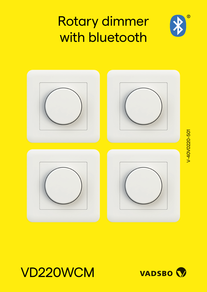## Rotary dimmer with bluetooth